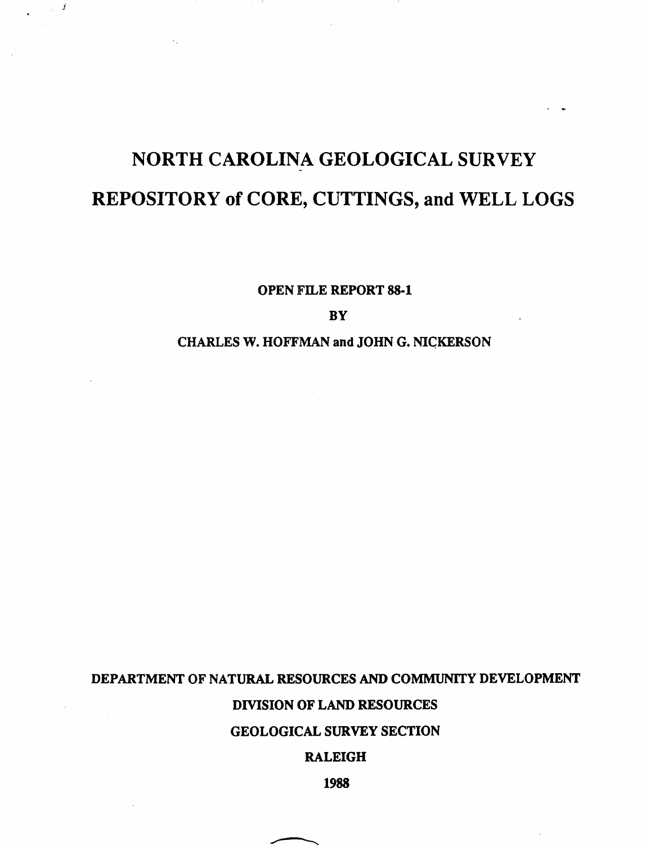# NORTH CAROLINA GEOLOGICAL SURVEY REPOSITORY of CORE, CUTTINGS, and WELL LOGS

j

OPEN FILE REPORT 88-1

**BY** 

# CHARLES W. HOFFMAN and JOHN G. NIGKERSON

# DEPARTMENT OF NATURAL RESOURCES AND COMMUNITY DEVELOPMENT

## DIVISION OF LAND RESOURCES

## GEOLOGICAL SURVEY SECTION

## RALEIGH

1988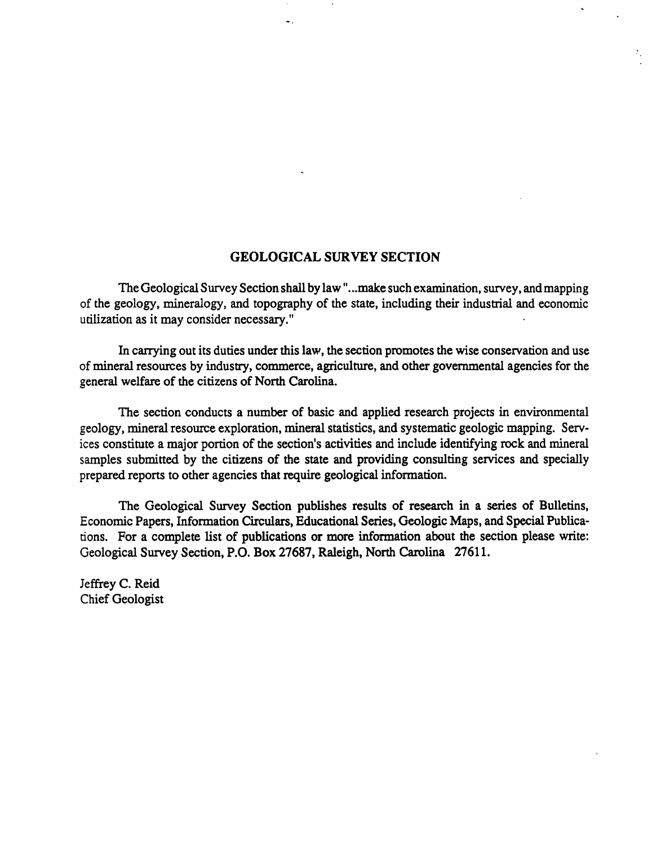#### GEOLOGICAL SURVEY SECTION

 $\ddotsc$ 

The Geological Survey Section shall by law "...make such examination, survey, and mapping of the geology, mineralogy, and topography of the state, including their industrial and economic utilization as it may consider necessary."

In carrying out its duties under this law, the section promotes the wise conservation and use of mineral resources by industry, commerce, agriculture, and other governmental agencies for the general welfare of the citizens of North Carolina.

The section conducts a number of basic and applied research projects in environmental geology, mineral resource exploration, mineral statistics, and systematic geologic mapping. Services constitute a major portion of the section's activities and include identifying rock and mineral samples submitted by the citizens of the state and providing consulting services and specially prepared reports to other agencies that require geological infonnation.

The Geological Survey Section publishes results of research in a series of Bulletins, Economic Papers, Information Circulars, Educational Series, Geologic Maps, and Special Publications. For a complete list of publications or more information about the section please write: Geological Survey Section, P.O. Box 27687, Raleigh, North Carolina 27611.

Jeffrey C. Reid Chief Geologist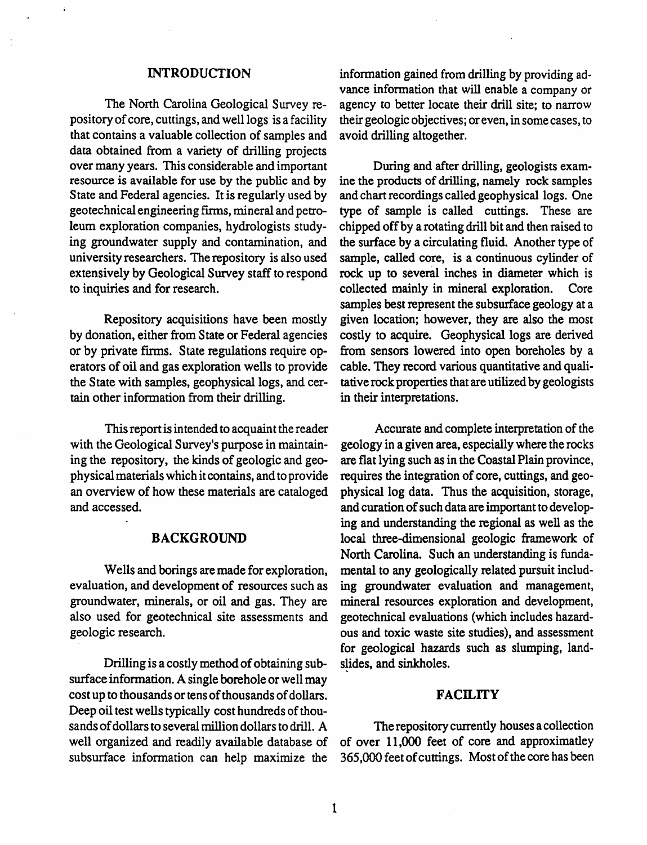#### INTRODUCTION

The North Carolina Geological Survey repository of core, cuttings, and well logs is a facility that contains a valuable collection of samples and data obtained from a variety of drilling projects over many years. This considerable and important During and after drilling, geologists examresource is available for use by the public and by ine the products of drilling, namely rock samples<br>State and Federal agencies. It is regularly used by and chart recordings called geophysical logs. One State and Federal agencies. It is regularly used by and chart recordings called geophysical logs. One geotechnical engineering firms, mineral and petro- type of sample is called cuttings. These are geotechnical engineering firms, mineral and petroleum exploration companies, hydrologists study-chipped off by a rotating drill bit and then raised to ing groundwater supply and contamination, and the surface by a circulating fluid. Another type of university researchers. The repository is also used sample, called core, is a continuous cylinder of extensively by Geological Survey staff to respond rock up to several inches in diameter which is to inquiries and for research. collected mainly in mineral exploration. Core

Repository acquisitions have been mostly by donation, either from State or Federal agencies or by private firms. State regulations require operators of oil and gas exploration wells to provide the State with samples, geophysical logs, and certain other information from their drilling.

Thisreport isintended to acquaint the reader with the Geological Survey's purpose in maintaining the repository, the kinds of geologic and geophysicalmaterialswhich it contains, and to provide an overview of how these materials are cataloged and accessed.

#### BACKGROUND

Wells and borings are made for exploration, evaluation, and development of resources such as groundwater, minerals, or oil and gas. They are also used for geotechnical site assessments and geologic research.

Drilling is a costly method of obtaining subsurface information. A single borehole or well may cost up to thousands or tens of thousands of dollars. Deep oil test wells typically cost hundreds of thousands of dollars to several million dollars to drill. A well organized and readily available database of subsurface information can help maximize the

information gained from drilling by providing advance information that will enable a company or agency to better locate their drill site; to narrow their geologic objectives; or even, in some cases, to avoid drilling altogether.

the surface by a circulating fluid. Another type of samples best represent the subsurface geology at a given location; however, they are also the most costly to acquire. Geophysical logs are derived from sensors lowered into open boreholes by a cable. They record various quantitative and qualitative rock properties that are utilized by geologists in their interpretations.

Accurate and complete interpretation of the geology in a given area, especially where the rocks are flat lying such as in the Coastal Plain province, requires the integration of core, cuttings, and geophysical log data. Thus the acquisition, storage, and curation of such data are important to developing and understanding the regional as well as the local three-dimensional geologic framework of North Carolina. Such an understanding is fundamental to any geologically related pursuit including groundwater evaluation and management, mineral resources exploration and development, geotechnical evaluations (which includes hazardous and toxic waste site studies), and assessment for geological hazards such as slumping, landslides, and sinkholes.

#### **FACILITY**

The repository currently houses a collection of over 11,000 feet of core and approximatley 365,000 feet of cuttings. Most of the core has been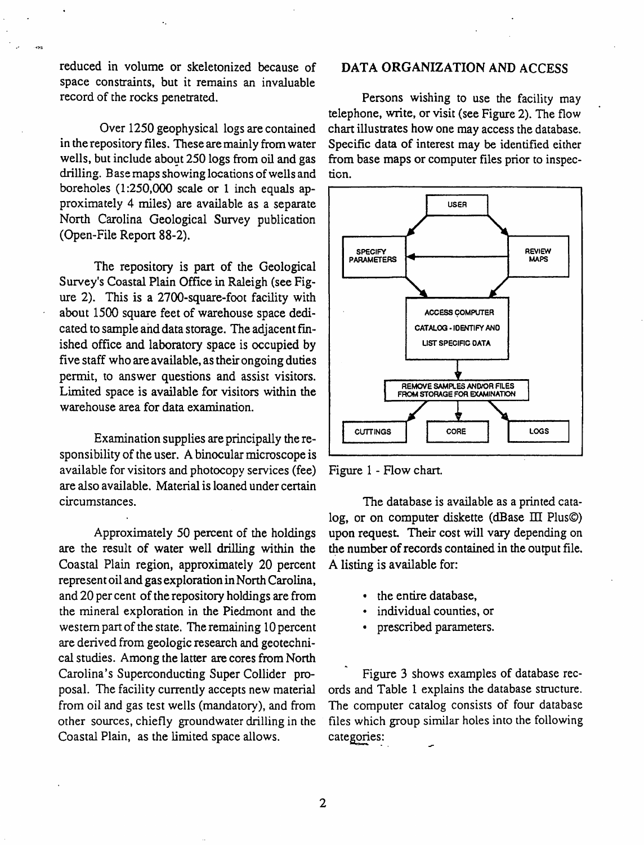reduced in volume or skeletonized because of space constraints, but it remains an invaluable record of the rocks penetrated.

Over 1250 geophysical logs are contained in the repository files. These aremainly from water wells, but include about 250 logs from oil and gas drilling. Basemaps showing locations of wells and boreholes  $(1:250,000$  scale or 1 inch equals approximately 4 miles) are available as a separate North Carolina Geological Survey publication (Open-File Report 88-2).

The repository is part of the Geological Survey's Coastal Plain Office in Raleigh (see Figure 2). This is a  $2700$ -square-foot facility with about 1500 square feet of warehouse space dedicated to sample and data storage. The adjacent finished office and laboratory space is occupied by five staff who are available, as their ongoing duties permit, to answer questions and assist visitors. Limited space is available for visitors within the warehouse area for data examination.

Examination supplies are principally the responsibility of the user. A binocular microscope is available for visitors and photocopy services (fee) are also available. Material is loaned under certain circumstances.

Approximately 50 percent of the holdings are the result of water well drilling within the Coastal Plain region, approximately 20 percent represent oil and gas exploration in North Carolina, and 20 per cent of the repository holdings are from the mineral exploration in the Piedmont and the western part of the state. The remaining 10 percent are derived from geologic research and geotechnical studies. Among the latter are cores from North Carolina's Superconducting Super Collider proposal. The facility currently accepts new material from oil and gas test wells (mandatory), and from other sources, chiefly groundwater drilling in the Coastal Plain, as the limited space allows.

## DATA ORGANIZATION AND ACCESS

Persons wishing to use the facility may telephone, write, or visit (see Figure 2). The flow chart illustrates how one may access the database. Specific data of interest may be identified either from base maps or computer files prior to inspection.



Figure 1 - Flow chart.

The database is available as a printed catalog, or on computer diskette (dBase  $III$  Plus $\circledcirc$ ) upon request. Their cost will vary depending on the number of records contained in the output file. A listing is available for:

- the entire database,
- individual counties, or
- prescribed parameters.

Figure 3 shows examples of database records and Table 1 explains the database structure. The computer catalog consists of four database files which group similar holes into the following categories: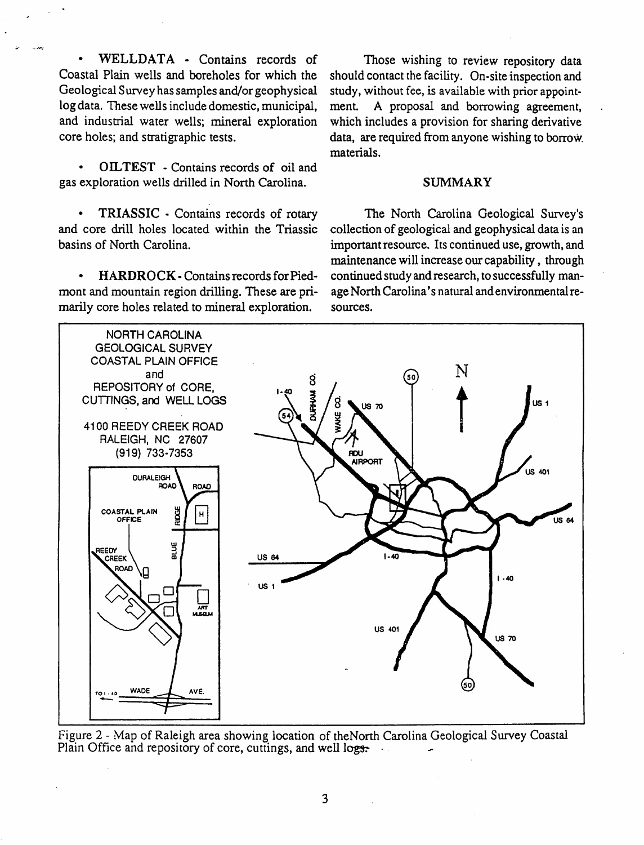WELLDATA - Contains records of Coastal Plain wells and boreholes for which the Geological Survey hassamples and/or geophysical log data. These wells include domestic, municipal, and industrial water wells; mineral exploration core holes; and stratigraphic tests.

~. .."'""..-

• OILTEST - Contains records of oil and gas exploration wells drilled in North Carolina. SUMMARY

• TRIASSIC - Contains records of rotary and core drill holes located within the Triassic basins of North Carolina.

• HARDROCK - Contains records for Piedmont and mountain region drilling. These are primarily core holes related to mineral exploration.

Those wishing to review repository data should contact the facility. On-site inspection and study, without fee, is available with prior appointment. A proposal and borrowing agreement, which includes a provision for sharing derivative data, are required from anyone wishing to borrow. materials.

The North Carolina Geological Survey's collection of geological and geophysical data is an important resource. Its continued use, growth, and maintenance will increase our capability, through continued study and research, to successfully manage North Carolina's natural and environmental resources.



Figure 2 - Map of Raleigh area showing location of theNorth Carolina Geological Survey Coastal Plain Office and repository of core, cuttings, and well logs.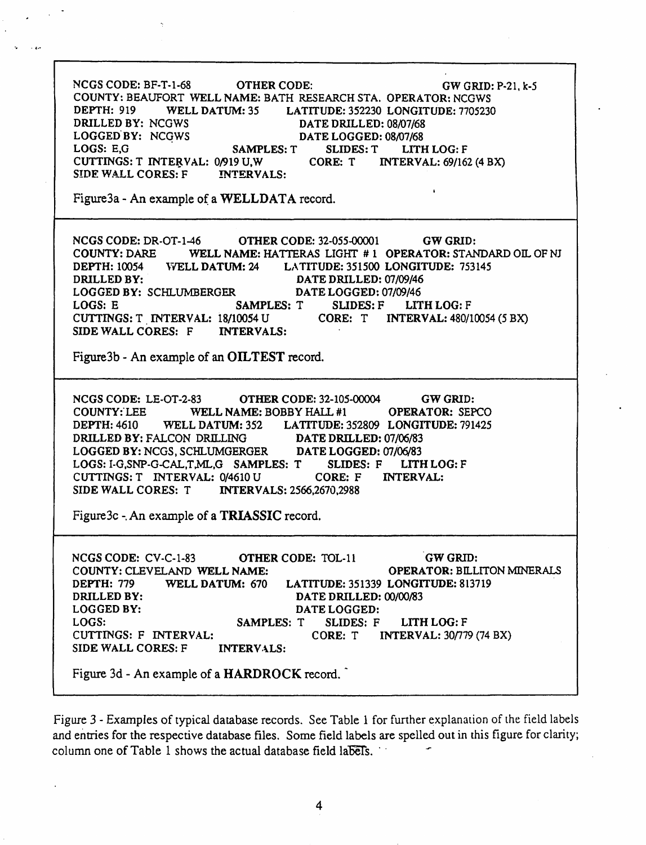NCGS CODE: BF-T-1-68 OTHER CODE: GW GRID: P-21, k-5 COUNTY: BEAUFORT WELL NAME: BATH RESEARCH STA. OPERATOR: NCGWS DEPTH: 919 WELL DATUM: 35 LATITUDE: 352230 LONGITUDE: 7705230 DRILLED BY: NCGWS<br>
LOGGED BY: NCGWS<br>
DATE LOGGED: 08/07/68 DATE LOGGED: 08/07/68 LOGS: E,G SAMPLES: T SLIDES: T LITH LOG: F CUTTINGS: T INTERVAL: 0/919 U,W SIDE WALL CORES: F INTERVALS: Figure3a - An example of a WELLDATA record. NCGS CODE: DR-OT-1-46 OTHER CODE: 32-055-00001 GW GRID: COUNTY: DARE WELL NAME: HATTERAS LIGHT # 1 OPERATOR: STANDARD OIL OF NJ<br>DEPTH: 10054 VVELL DATUM: 24 LATITUDE: 351500 LONGITUDE: 753145 DEPTH: 10054 VrELL DATUM: 24 LATITUDE: 351500 LONGITUDE: 753145 DRILLED BY: DATE DRILLED: 07/09/46 LOGGED BY: SCHLUMBERGER DATE LOGGED: 07/09/46 LOGS: E SAMPLES: T SUDES: F LITH LOG: F CUTTINGS: T . INTERVAL: 18/10054 U CORE: T INTERVAL: 480/10054 (5 BX) SIDE WALL CORES: F INTERVALS: Figure3b - An example of an OILTEST record. NCGS CODE: LE-OT-2-83 OTHER CODE: 32-105-00004 GW GRID: COUNTY:'LEE WELL NAME: BOBBY HAIL #1 OPERATOR: SEPCO DEPTH: 4610 WELL DATUM: 352 LATITUDE: 352809 LONGITUDE: 791425 DRILLED BY: FALCON DRILLING DATE DRILLED: 07/06/83 LOGGED BY: NCGS, SCHLUMGERGER DATE LOGGED: 07/06/83 LOGS: I-G,SNP-G-CAL,T,ML,G SAMPLES: T SLIDES: F LITH LOG: F CUTTINGS: T INTERVAL: 0/4610 U CORE: F INTERVAL:<br>SIDE WALL CORES: T INTERVALS: 2566,2670,2988 INTERVALS: 2566,2670,2988 Figure3c -. An example of a TRIASSIC record. INTERVALS: GWGRID: OPERATOR: BILLITON MINERALS LATITUDE: 351339 LONGITUDE: 813719 DATE DRILLED: 00/00/83 DATE LOGGED: SAMPLES: T SLIDES: F LITH LOG: F CORE: T INTERVAL: *30n79* (74 aX) NCGS CODE: CV-C-1-83 OTHER CODE: TOL-11 COUNTY: CLEVELAND WELL NAME: DEPfH: 779 WELL DATUM: 670 DRILLED BY: LOGGED BY: LOGS: CUTTINGS: F INTERVAL: SIDE WALL CORES: F Figure 3d - An example of a HARDROCK record.

Figure 3 - Examples of typical database records. See Table 1 for further explanation of the field labels and entries for the respective database files. Some field labels are spelled out in this figure for clarity; column one of Table 1 shows the actual database field labels.